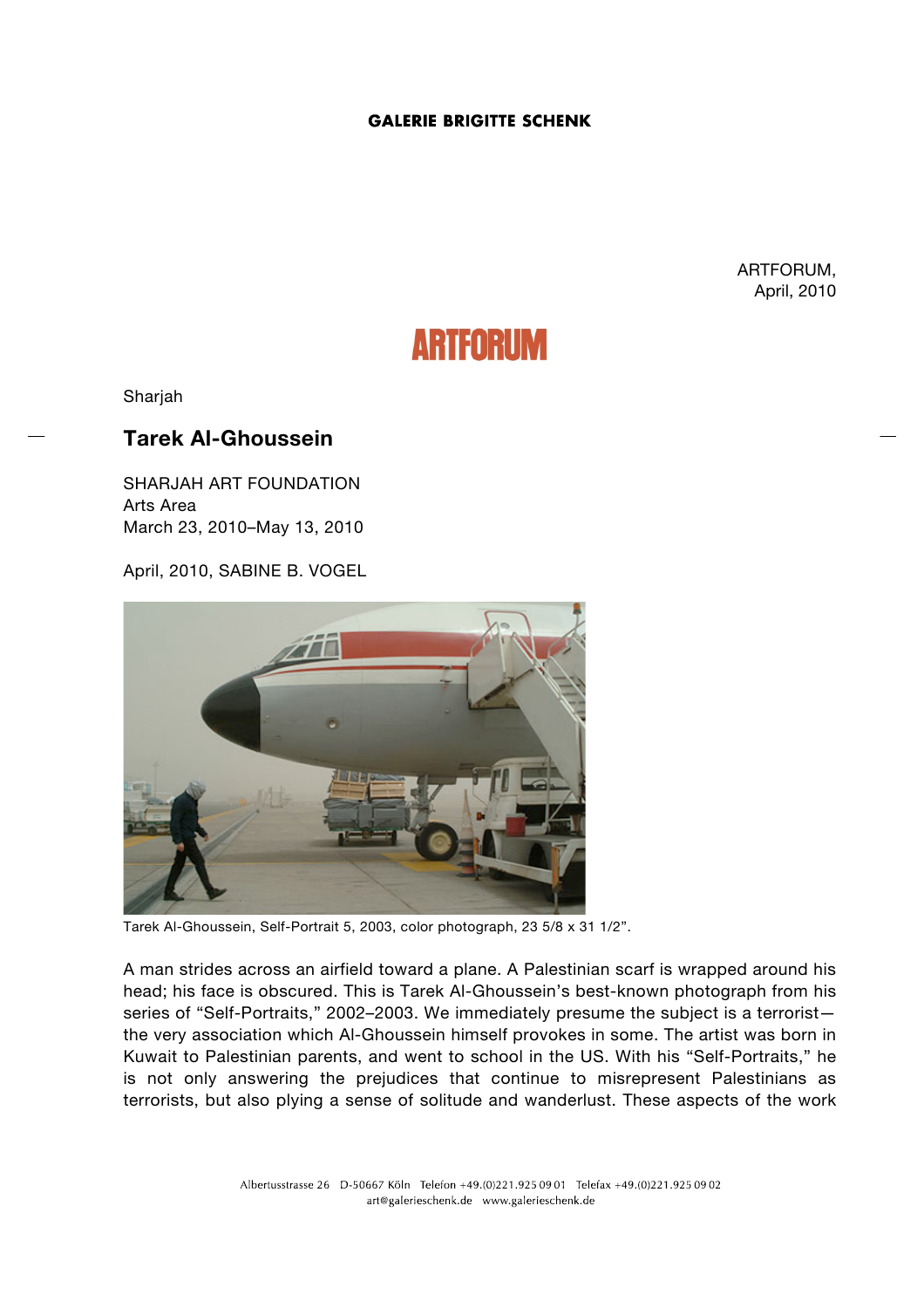## **GALERIE BRIGITTE SCHENK**

ARTFORUM, April, 2010

## **ARTFORUM**

Sharjah

## **Tarek Al-Ghoussein**

SHARJAH ART FOUNDATION Arts Area March 23, 2010–May 13, 2010

April, 2010, SABINE B. VOGEL



Tarek Al-Ghoussein, Self-Portrait 5, 2003, color photograph, 23 5/8 x 31 1/2".

A man strides across an airfield toward a plane. A Palestinian scarf is wrapped around his head; his face is obscured. This is Tarek Al-Ghoussein's best-known photograph from his series of "Self-Portraits," 2002–2003. We immediately presume the subject is a terrorist the very association which Al-Ghoussein himself provokes in some. The artist was born in Kuwait to Palestinian parents, and went to school in the US. With his "Self-Portraits," he is not only answering the prejudices that continue to misrepresent Palestinians as terrorists, but also plying a sense of solitude and wanderlust. These aspects of the work